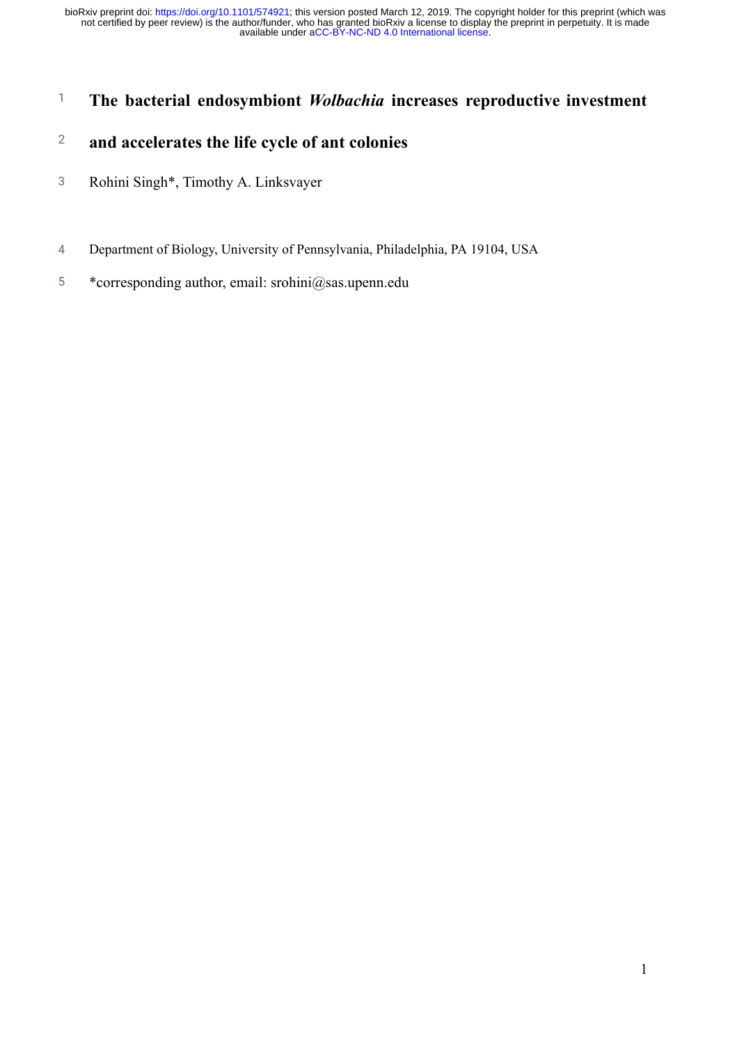# 1 **The bacterial endosymbiont** *Wolbachia* **increases reproductive investment**

# 2 **and accelerates the life cycle of ant colonies**

- 3 Rohini Singh\*, Timothy A. Linksvayer
- 4 Department of Biology, University of Pennsylvania, Philadelphia, PA 19104, USA
- 5 \*corresponding author, email: srohini@sas.upenn.edu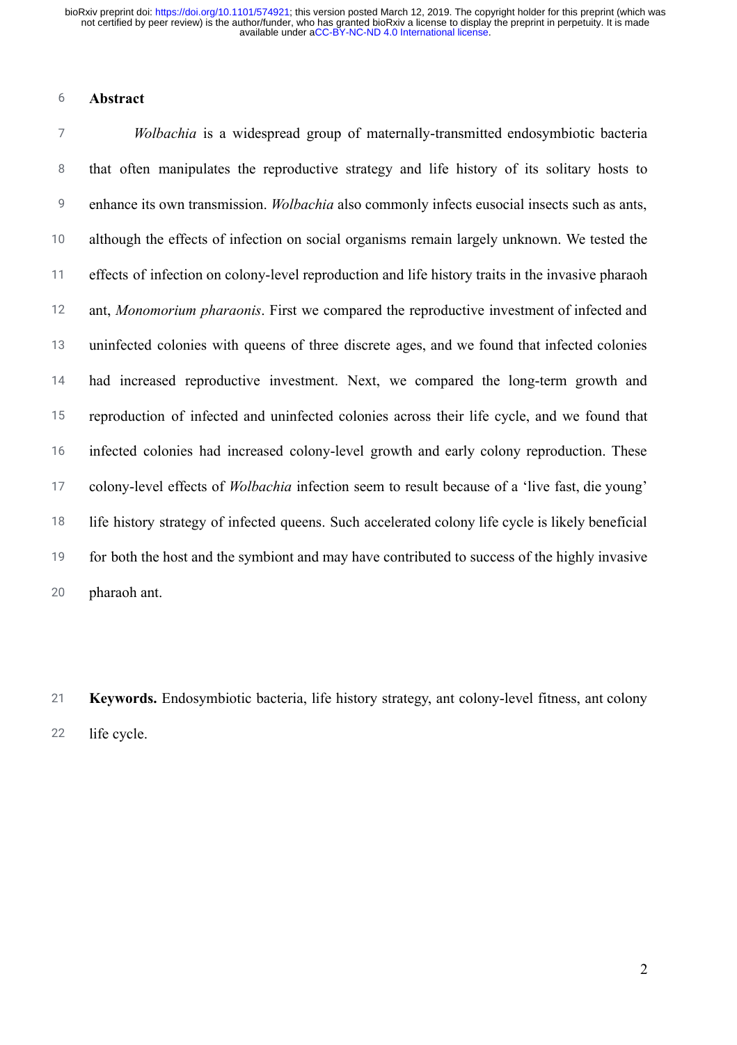#### 6 **Abstract**

7 8 9 10 11 12 13 14 15 16 17 18 19 20 *Wolbachia* is a widespread group of maternally-transmitted endosymbiotic bacteria that often manipulates the reproductive strategy and life history of its solitary hosts to enhance its own transmission. *Wolbachia* also commonly infects eusocial insects such as ants, although the effects of infection on social organisms remain largely unknown. We tested the effects of infection on colony-level reproduction and life history traits in the invasive pharaoh ant, *Monomorium pharaonis* . First we compared the reproductive investment of infected and uninfected colonies with queens of three discrete ages, and we found that infected colonies had increased reproductive investment. Next, we compared the long-term growth and reproduction of infected and uninfected colonies across their life cycle, and we found that infected colonies had increased colony-level growth and early colony reproduction. These colony-level effects of *Wolbachia* infection seem to result because of a 'live fast, die young' life history strategy of infected queens. Such accelerated colony life cycle is likely beneficial for both the host and the symbiont and may have contributed to success of the highly invasive pharaoh ant.

21 22 **Keywords.** Endosymbiotic bacteria, life history strategy, ant colony-level fitness, ant colony life cycle.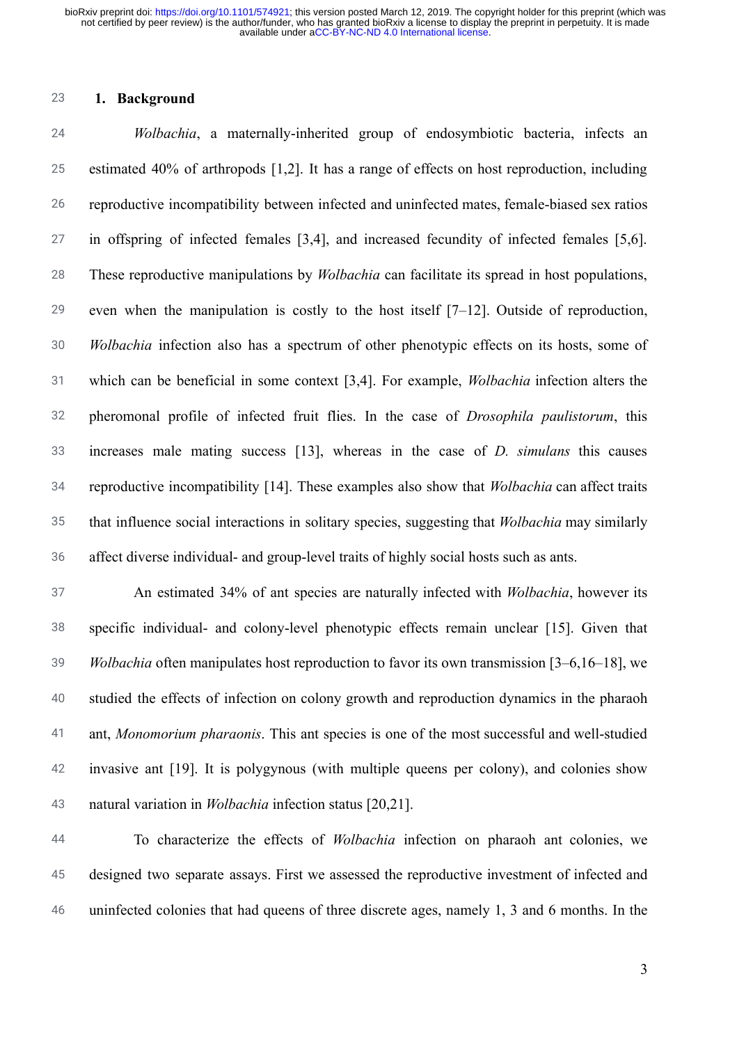### 23 **1. Background**

24 25 26 27 28 29 30 31 32 33 34 35 36 *Wolbachia* , a maternally-inherited group of endosymbiotic bacteria, infects an estimated 40% of arthropods [1,2]. It has a range of effects on host reproduction, including reproductive incompatibility between infected and uninfected mates, female-biased sex ratios in offspring of infected females [3,4], and increased fecundity of infected females [\[5,6\]](https://paperpile.com/c/ONKCSt/qxDP+FAy8). These reproductive manipulations by *Wolbachia* can facilitate its spread in host populations, even when the manipulation is costly to the host itself  $[7-12]$ . Outside of reproduction, *Wolbachia* infection also has a spectrum of other phenotypic effects on its hosts, some of which can be beneficial in some context [\[3,4\]](https://paperpile.com/c/ONKCSt/YPAP+jmXr) . For example, *Wolbachia* infection alters the pheromonal profile of infected fruit flies. In the case of *Drosophila paulistorum* , this increases male mating success [13], whereas in the case of *D. simulans* this causes reproductive incompatibility [\[14\]](https://paperpile.com/c/ONKCSt/k5kN) . These examples also show that *Wolbachia* can affect traits that influence social interactions in solitary species, suggesting that *Wolbachia* may similarly affect diverse individual- and group-level traits of highly social hosts such as ants.

37 38 39 40 41 42 43 An estimated 34% of ant species are naturally infected with *Wolbachia* , however its specific individual- and colony-level phenotypic effects remain unclear [15]. Given that *Wolbachia* often manipulates host reproduction to favor its own transmission [3–6,16–18], we studied the effects of infection on colony growth and reproduction dynamics in the pharaoh ant, *Monomorium pharaonis* . This ant species is one of the most successful and well-studied invasive ant [19]. It is polygynous (with multiple queens per colony), and colonies show natural variation in *Wolbachia* infection status [\[20,21\] .](https://paperpile.com/c/ONKCSt/3AIA+SYN5)

44 45 46 To characterize the effects of *Wolbachia* infection on pharaoh ant colonies, we designed two separate assays. First we assessed the reproductive investment of infected and uninfected colonies that had queens of three discrete ages, namely 1, 3 and 6 months. In the

3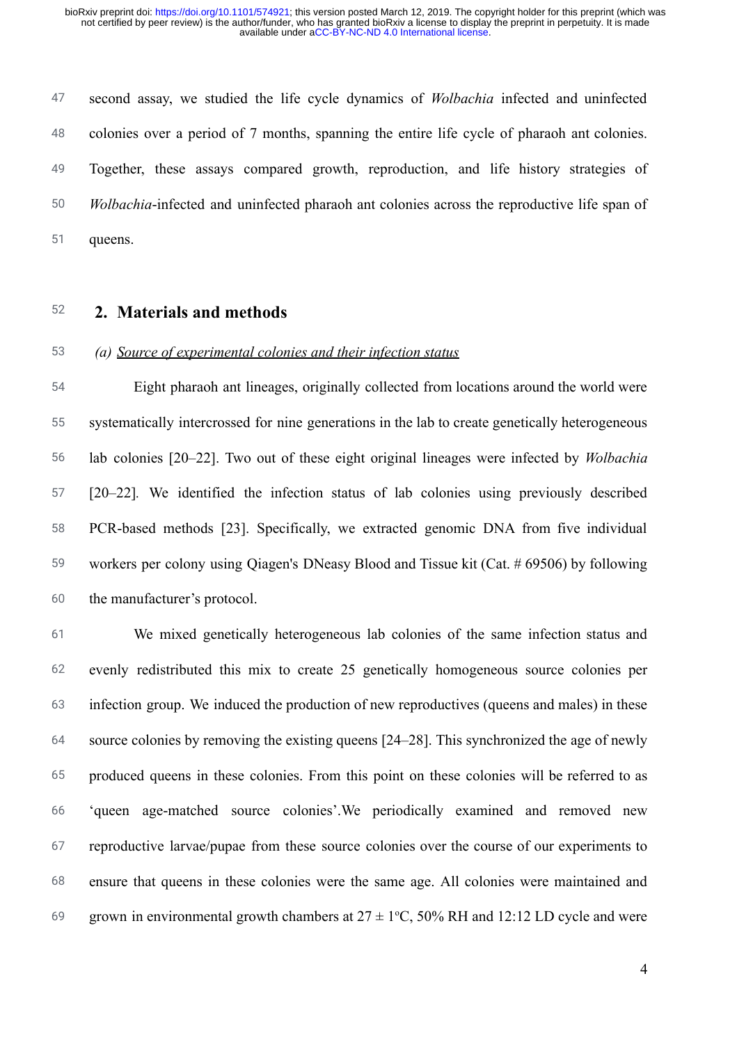47 48 49 50 51 second assay, we studied the life cycle dynamics of *Wolbachia* infected and uninfected colonies over a period of 7 months, spanning the entire life cycle of pharaoh ant colonies. Together, these assays compared growth, reproduction, and life history strategies of *Wolbachia* -infected and uninfected pharaoh ant colonies across the reproductive life span of queens.

52 **2. Materials and methods** 

### 53 *(a) Source of experimental colonies and their infection status*

54 55 56 57 58 59 60 Eight pharaoh ant lineages, originally collected from locations around the world were systematically intercrossed for nine generations in the lab to create genetically heterogeneous lab colonies [20–22]. Two out of these eight original lineages were infected by *Wolbachia* [\[20–22\]](https://paperpile.com/c/ONKCSt/sGC7+3AIA+SYN5) *.* We identified the infection status of lab colonies using previously described PCR-based methods [23]. Specifically, we extracted genomic DNA from five individual workers per colony using Qiagen's DNeasy Blood and Tissue kit (Cat. # 69506 ) by following the manufacturer's protocol.

61 62 63 64 65 66 67 68 69 We mixed genetically heterogeneous lab colonies of the same infection status and evenly redistributed this mix to create 25 genetically homogeneous source colonies per infection group. We induced the production of new reproductives (queens and males) in these source colonies by removing the existing queens [\[24–28\] .](https://paperpile.com/c/ONKCSt/9H0x+7QYv+lqp1+zlq3+b9Ok) This synchronized the age of newly produced queens in these colonies. From this point on these colonies will be referred to as 'queen age-matched source colonies'.We periodically examined and removed new reproductive larvae/pupae from these source colonies over the course of our experiments to ensure that queens in these colonies were the same age. All colonies were maintained and grown in environmental growth chambers at  $27 \pm 1$ °C, 50% RH and 12:12 LD cycle and were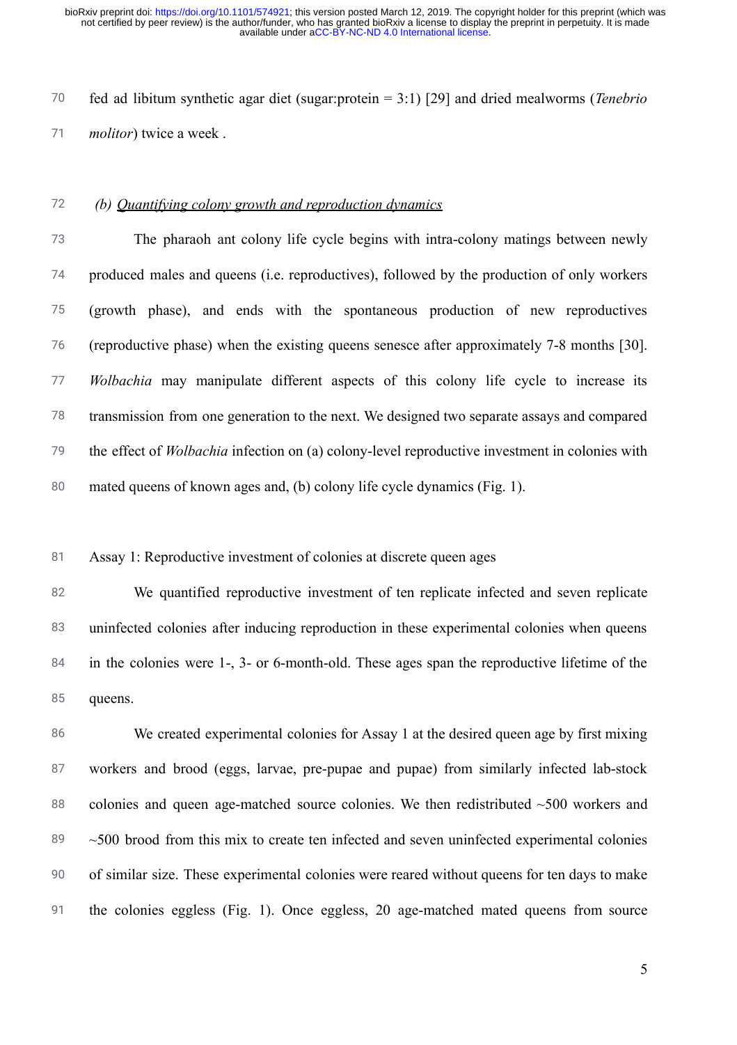70 71 fed ad libitum synthetic agar diet (sugar:protein = 3:1) [\[29\]](https://paperpile.com/c/ONKCSt/rUdy) and dried mealworms ( *Tenebrio molitor*) twice a week.

### 72 *(b) Quantifying colony growth and reproduction dynamics*

73 74 75 76 77 78 79 80 The pharaoh ant colony life cycle begins with intra-colony matings between newly produced males and queens (i.e. reproductives), followed by the production of only workers (growth phase), and ends with the spontaneous production of new reproductives (reproductive phase) when the existing queens senesce after approximately 7-8 months [\[30\] .](https://paperpile.com/c/ONKCSt/5omg) *Wolbachia* may manipulate different aspects of this colony life cycle to increase its transmission from one generation to the next. We designed two separate assays and compared the effect of *Wolbachia* infection on (a) colony-level reproductive investment in colonies with mated queens of known ages and, (b) colony life cycle dynamics (Fig. 1).

81 Assay 1: Reproductive investment of colonies at discrete queen ages

82 83 84 85 We quantified reproductive investment of ten replicate infected and seven replicate uninfected colonies after inducing reproduction in these experimental colonies when queens in the colonies were 1-, 3- or 6-month-old. These ages span the reproductive lifetime of the queens.

86 87 88 89 90 91 We created experimental colonies for Assay 1 at the desired queen age by first mixing workers and brood (eggs, larvae, pre-pupae and pupae) from similarly infected lab-stock colonies and queen age-matched source colonies. We then redistributed  $~500$  workers and  $\sim$ 500 brood from this mix to create ten infected and seven uninfected experimental colonies of similar size. These experimental colonies were reared without queens for ten days to make the colonies eggless (Fig. 1). Once eggless, 20 age-matched mated queens from source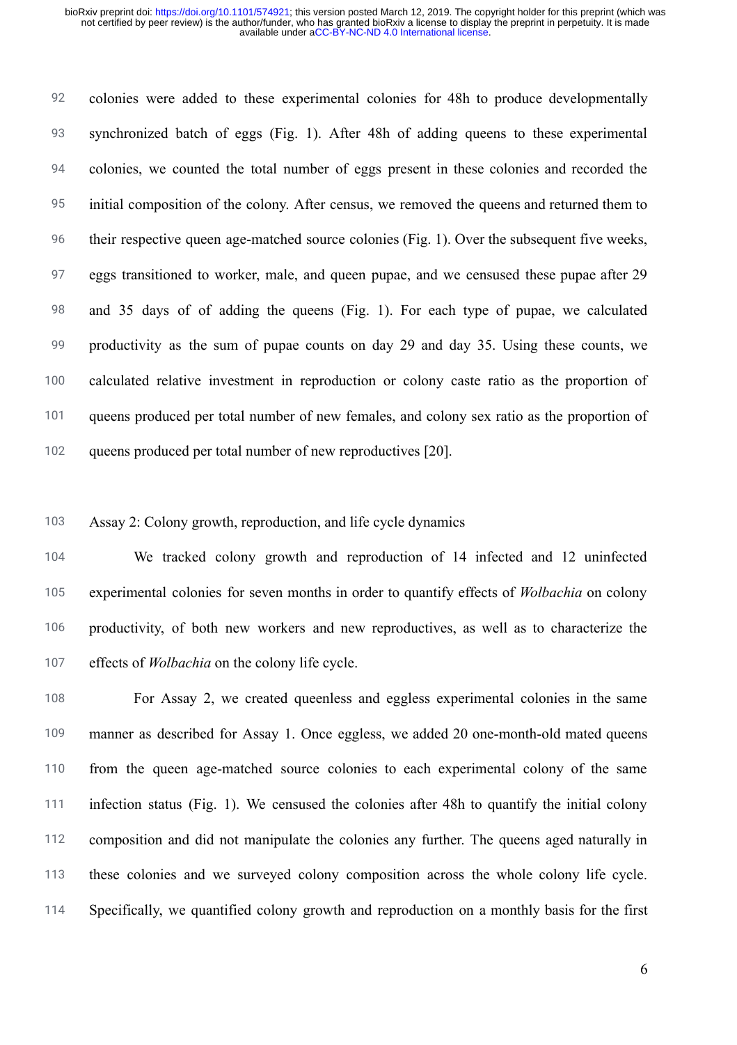92 93 94 95 96 97 98 99 100 101 102 colonies were added to these experimental colonies for 48h to produce developmentally synchronized batch of eggs (Fig. 1). After 48h of adding queens to these experimental colonies, we counted the total number of eggs present in these colonies and recorded the initial composition of the colony. After census, we removed the queens and returned them to their respective queen age-matched source colonies (Fig. 1). Over the subsequent five weeks, eggs transitioned to worker, male, and queen pupae, and we censused these pupae after 29 and 35 days of of adding the queens (Fig. 1). For each type of pupae, we calculated productivity as the sum of pupae counts on day 29 and day 35. Using these counts, we calculated relative investment in reproduction or colony caste ratio as the proportion of queens produced per total number of new females, and colony sex ratio as the proportion of queens produced per total number of new reproductives [\[20\]](https://paperpile.com/c/ONKCSt/3AIA).

103 Assay 2: Colony growth, reproduction, and life cycle dynamics

104 105 106 107 We tracked colony growth and reproduction of 14 infected and 12 uninfected experimental colonies for seven months in order to quantify effects of *Wolbachia* on colony productivity, of both new workers and new reproductives, as well as to characterize the effects of *Wolbachia* on the colony life cycle.

108 109 110 111 112 113 114 For Assay 2, we created queenless and eggless experimental colonies in the same manner as described for Assay 1. Once eggless, we added 20 one-month-old mated queens from the queen age-matched source colonies to each experimental colony of the same infection status (Fig. 1). We censused the colonies after 48h to quantify the initial colony composition and did not manipulate the colonies any further. The queens aged naturally in these colonies and we surveyed colony composition across the whole colony life cycle. Specifically, we quantified colony growth and reproduction on a monthly basis for the first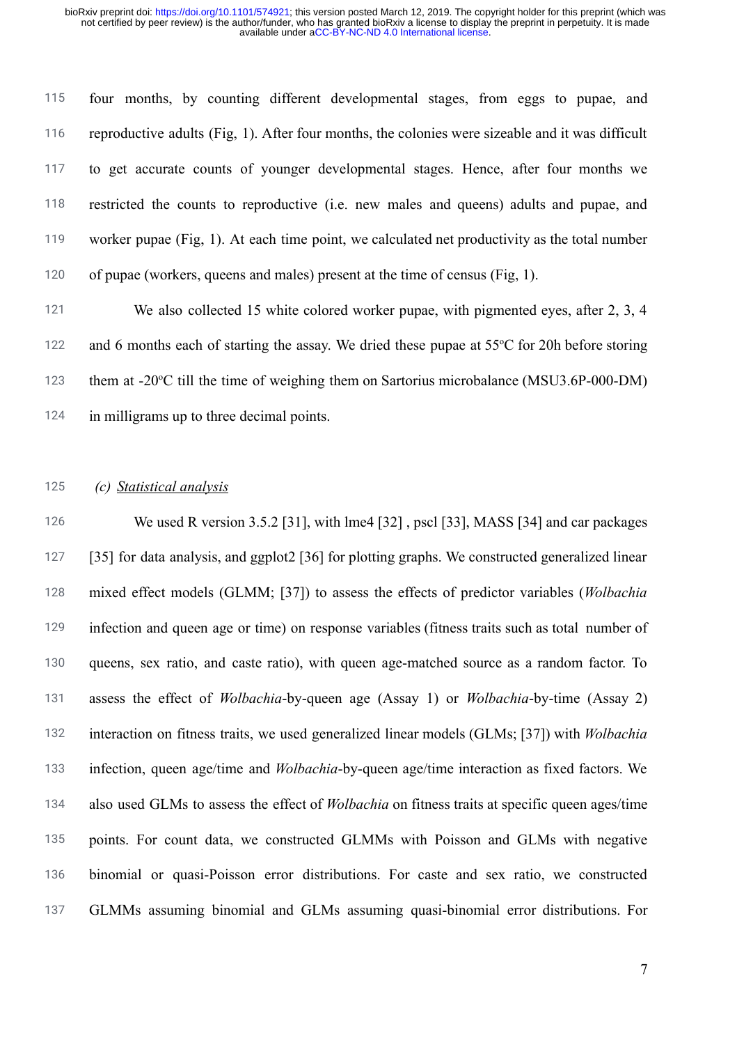115 116 117 118 119 120 four months, by counting different developmental stages, from eggs to pupae, and reproductive adults (Fig, 1). After four months, the colonies were sizeable and it was difficult to get accurate counts of younger developmental stages. Hence, after four months we restricted the counts to reproductive (i.e. new males and queens) adults and pupae, and worker pupae (Fig, 1). At each time point, we calculated net productivity as the total number of pupae (workers, queens and males) present at the time of census (Fig, 1).

121 122 123 124 We also collected 15 white colored worker pupae, with pigmented eyes, after 2, 3, 4 and 6 months each of starting the assay. We dried these pupae at 55°C for 20h before storing them at -20°C till the time of weighing them on Sartorius microbalance (MSU3.6P-000-DM) in milligrams up to three decimal points.

#### 125 *(c) Statistical analysis*

126 127 128 129 130 131 132 133 134 135 136 137 We used R version 3.5.2 [31], with lme4 [\[32\]](https://paperpile.com/c/ONKCSt/Uhl9), pscl [\[33\]](https://paperpile.com/c/ONKCSt/tF3e), MASS [\[34\]](https://paperpile.com/c/ONKCSt/SujU) and car packages [\[35\]](https://paperpile.com/c/ONKCSt/Gm74) for data analysis, and ggplot2 [\[36\]](https://paperpile.com/c/ONKCSt/mILE)for plotting graphs. We constructed generalized linear mixed effect models (GLMM; [\[37\] \)](https://paperpile.com/c/ONKCSt/n0mW) to assess the effects of predictor variables ( *Wolbachia* infection and queen age or time) on response variables (fitness traits such as total number of queens, sex ratio, and caste ratio), with queen age-matched source as a random factor. To assess the effect of *Wolbachia* -by-queen age (Assay 1) or *Wolbachia* -by-time (Assay 2) interaction on fitness traits, we used generalized linear models (GLMs; [\[37\] \)](https://paperpile.com/c/ONKCSt/n0mW) with *Wolbachia* infection, queen age/time and *Wolbachia* -by-queen age/time interaction as fixed factors. We also used GLMs to assess the effect of *Wolbachia* on fitness traits at specific queen ages/time points. For count data, we constructed GLMMs with Poisson and GLMs with negative binomial or quasi-Poisson error distributions. For caste and sex ratio, we constructed GLMMs assuming binomial and GLMs assuming quasi-binomial error distributions. For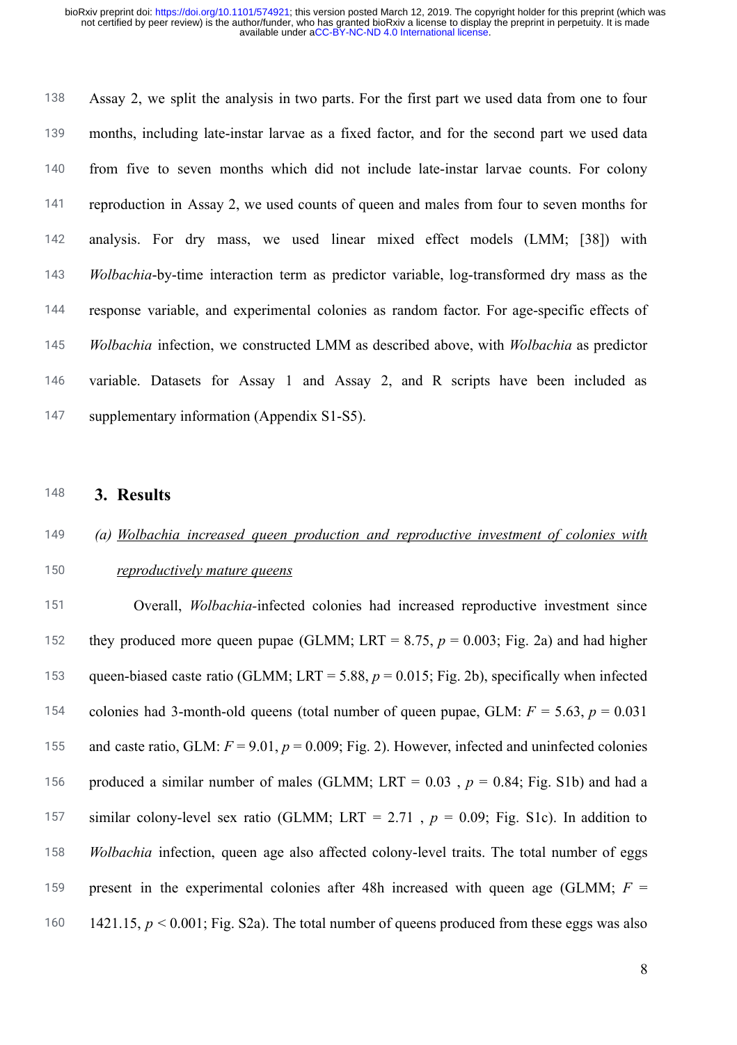138 139 140 141 142 143 144 145 146 147 Assay 2, we split the analysis in two parts. For the first part we used data from one to four months, including late-instar larvae as a fixed factor, and for the second part we used data from five to seven months which did not include late-instar larvae counts. For colony reproduction in Assay 2, we used counts of queen and males from four to seven months for analysis. For dry mass, we used linear mixed effect models (LMM; [38]) with *Wolbachia* -by-time interaction term as predictor variable, log-transformed dry mass as the response variable, and experimental colonies as random factor. For age-specific effects of *Wolbachia* infection, we constructed LMM as described above, with *Wolbachia* as predictor variable. Datasets for Assay 1 and Assay 2, and R scripts have been included as supplementary information (Appendix S1-S5).

- 148 **3. Results**
- 149 *(a) Wolbachia increased queen production and reproductive investment of colonies with*
- 150 *reproductively mature queens*

151 152 153 154 155 156 157 158 159 160 Overall, *Wolbachia-* infected colonies had increased reproductive investment since they produced more queen pupae (GLMM; LRT =  $8.75$ ,  $p = 0.003$ ; Fig. 2a) and had higher queen-biased caste ratio (GLMM; LRT = 5.88,  $p = 0.015$ ; Fig. 2b), specifically when infected colonies had 3-month-old queens (total number of queen pupae, GLM:  $F = 5.63$ ,  $p = 0.031$ and caste ratio, GLM:  $F = 9.01$ ,  $p = 0.009$ ; Fig. 2). However, infected and uninfected colonies produced a similar number of males (GLMM; LRT =  $0.03$ ,  $p = 0.84$ ; Fig. S1b) and had a similar colony-level sex ratio (GLMM; LRT = 2.71,  $p = 0.09$ ; Fig. S1c). In addition to *Wolbachia* infection, queen age also affected colony-level traits. The total number of eggs present in the experimental colonies after 48h increased with queen age (GLMM;  $F =$ 1421.15, *p* < 0.001; Fig. S2a). The total number of queens produced from these eggs was also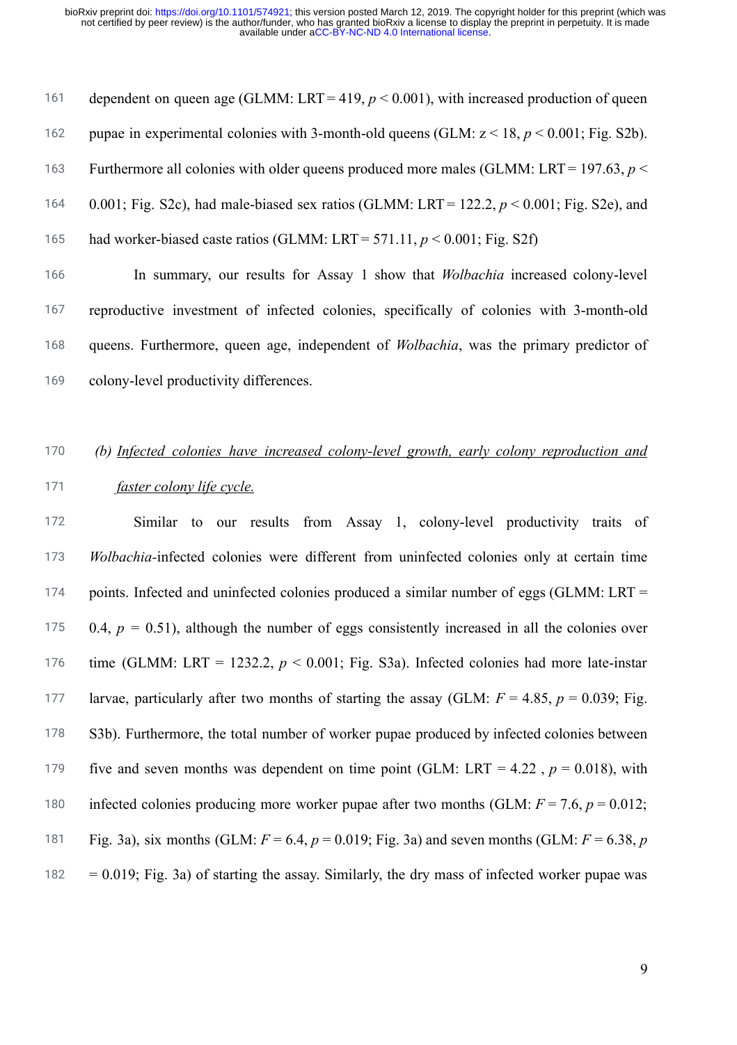161 162 163 164 165 166 167 168 dependent on queen age (GLMM: LRT =  $419, p \le 0.001$ ), with increased production of queen pupae in experimental colonies with 3-month-old queens (GLM: z < 18, *p* < 0.001; Fig. S2b). Furthermore all colonies with older queens produced more males (GLMM: LRT = 197.63, *p* < 0.001; Fig. S2c), had male-biased sex ratios (GLMM: LRT = 122.2, *p* < 0.001; Fig. S2e), and had worker-biased caste ratios (GLMM: LRT = 571.11, *p* < 0.001; Fig. S2f) In summary, our results for Assay 1 show that *Wolbachia* increased colony-level reproductive investment of infected colonies, specifically of colonies with 3-month-old queens. Furthermore, queen age, independent of *Wolbachia*, was the primary predictor of

169 colony-level productivity differences.

# 170 *(b) Infected colonies have increased colony-level growth, early colony reproduction and*

### 171 *faster colony life cycle.*

172 173 174 175 176 177 178 179 180 181 182 Similar to our results from Assay 1, colony-level productivity traits of *Wolbachia-* infected colonies were different from uninfected colonies only at certain time points. Infected and uninfected colonies produced a similar number of eggs (GLMM: LRT = 0.4,  $p = 0.51$ ), although the number of eggs consistently increased in all the colonies over time (GLMM: LRT = 1232.2,  $p < 0.001$ ; Fig. S3a). Infected colonies had more late-instar larvae, particularly after two months of starting the assay (GLM:  $F = 4.85$ ,  $p = 0.039$ ; Fig. S3b). Furthermore, the total number of worker pupae produced by infected colonies between five and seven months was dependent on time point (GLM: LRT = 4.22,  $p = 0.018$ ), with infected colonies producing more worker pupae after two months (GLM:  $F = 7.6$ ,  $p = 0.012$ ; Fig. 3a), six months (GLM:  $F = 6.4$ ,  $p = 0.019$ ; Fig. 3a) and seven months (GLM:  $F = 6.38$ ,  $p = 0.019$  $= 0.019$ ; Fig. 3a) of starting the assay. Similarly, the dry mass of infected worker pupae was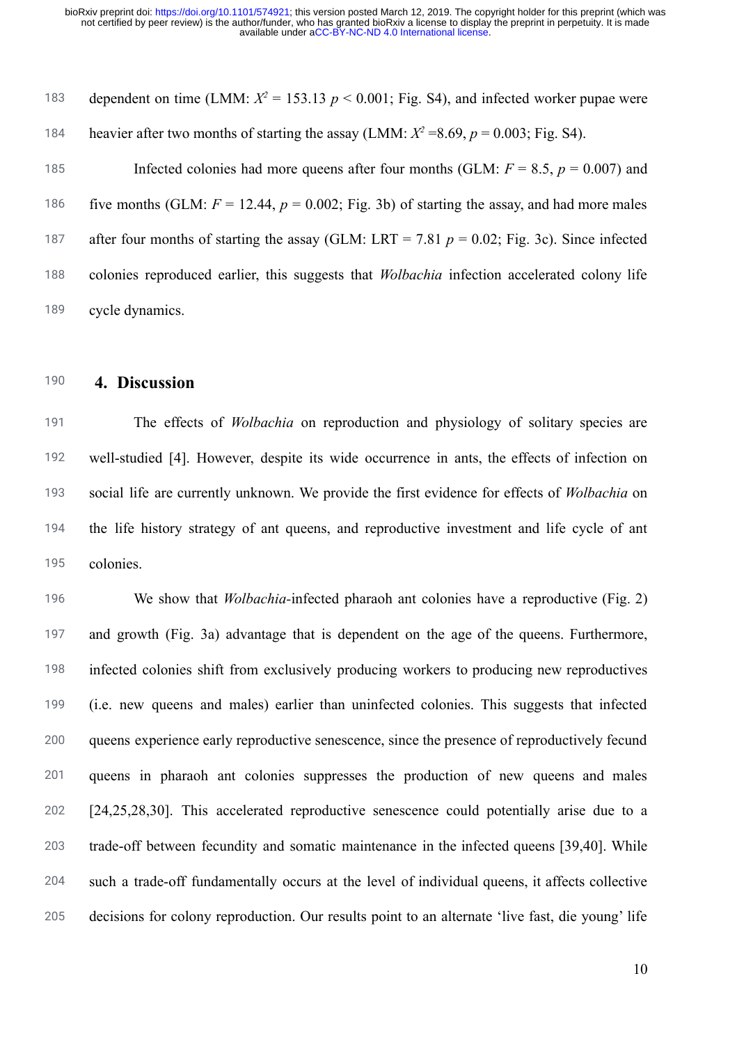183 184 185 186 187 188 189 dependent on time (LMM:  $X^2 = 153.13$   $p < 0.001$ ; Fig. S4), and infected worker pupae were heavier after two months of starting the assay (LMM:  $X^2 = 8.69$ ,  $p = 0.003$ ; Fig. S4). Infected colonies had more queens after four months (GLM:  $F = 8.5$ ,  $p = 0.007$ ) and five months (GLM:  $F = 12.44$ ,  $p = 0.002$ ; Fig. 3b) of starting the assay, and had more males after four months of starting the assay (GLM: LRT = 7.81  $p = 0.02$ ; Fig. 3c). Since infected colonies reproduced earlier, this suggests that *Wolbachia* infection accelerated colony life cycle dynamics.

## 190 **4. Discussion**

191 192 193 194 195 The effects of *Wolbachia* on reproduction and physiology of solitary species are well-studied [4]. However, despite its wide occurrence in ants, the effects of infection on social life are currently unknown. We provide the first evidence for effects of *Wolbachia* on the life history strategy of ant queens, and reproductive investment and life cycle of ant colonies.

196 197 198 199 200 201 202 203 204 205 We show that *Wolbachia*-infected pharaoh ant colonies have a reproductive (Fig. 2) and growth (Fig. 3a) advantage that is dependent on the age of the queens. Furthermore, infected colonies shift from exclusively producing workers to producing new reproductives (i.e. new queens and males) earlier than uninfected colonies. This suggests that infected queens experience early reproductive senescence, since the presence of reproductively fecund queens in pharaoh ant colonies suppresses the production of new queens and males [24,25,28,30]. This accelerated reproductive senescence could potentially arise due to a trade-off between fecundity and somatic maintenance in the infected queens [\[39,40\] .](https://paperpile.com/c/ONKCSt/DXiq+ZXAQ) While such a trade-off fundamentally occurs at the level of individual queens, it affects collective decisions for colony reproduction. Our results point to an alternate 'live fast, die young' life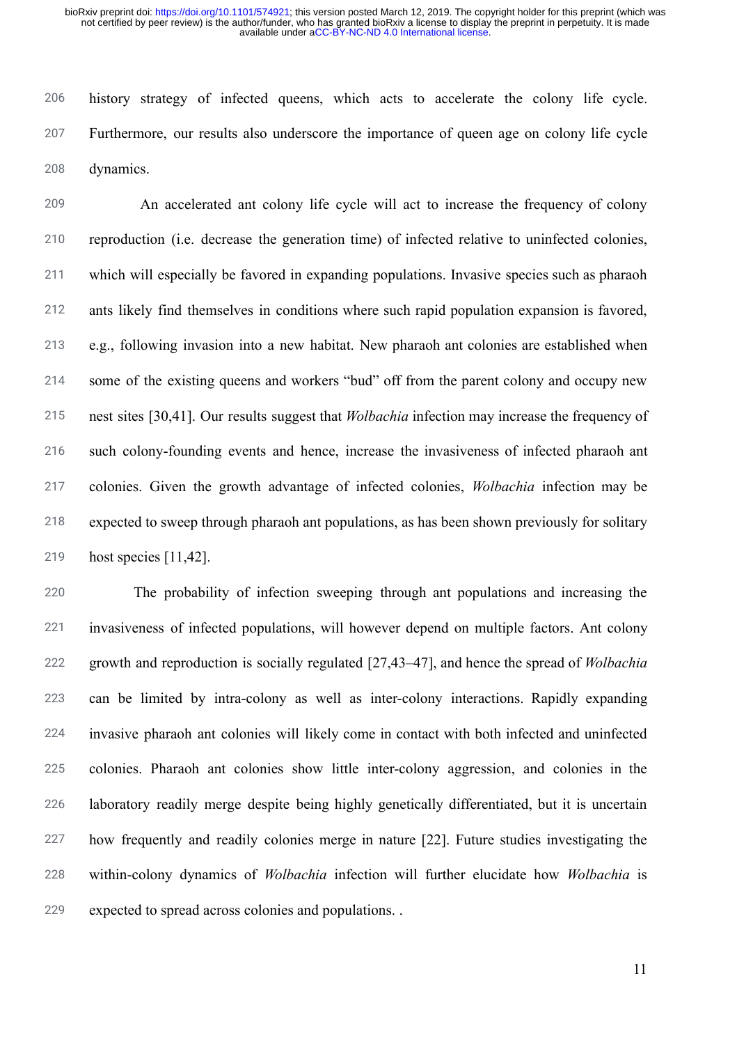206 207 208 history strategy of infected queens, which acts to accelerate the colony life cycle. Furthermore, our results also underscore the importance of queen age on colony life cycle dynamics.

209 210 211 212 213 214 215 216 217 218 219 An accelerated ant colony life cycle will act to increase the frequency of colony reproduction (i.e. decrease the generation time) of infected relative to uninfected colonies, which will especially be favored in expanding populations. Invasive species such as pharaoh ants likely find themselves in conditions where such rapid population expansion is favored, e.g., following invasion into a new habitat. New pharaoh ant colonies are established when some of the existing queens and workers "bud" off from the parent colony and occupy new nest sites [\[30,41\] .](https://paperpile.com/c/ONKCSt/5omg+bpst) Our results suggest that *Wolbachia* infection may increase the frequency of such colony-founding events and hence, increase the invasiveness of infected pharaoh ant colonies. Given the growth advantage of infected colonies, *Wolbachia* infection may be expected to sweep through pharaoh ant populations, as has been shown previously for solitary host species [\[11,42\]](https://paperpile.com/c/ONKCSt/XxiP+xbmE).

220 221 222 223 224 225 226 227 228 229 The probability of infection sweeping through ant populations and increasing the invasiveness of infected populations, will however depend on multiple factors. Ant colony growth and reproduction is socially regulated [\[27,43–47\] ,](https://paperpile.com/c/ONKCSt/IInq+0UyW+AXI8+2861+zlq3+IT4l) and hence the spread of *Wolbachia* can be limited by intra-colony as well as inter-colony interactions. Rapidly expanding invasive pharaoh ant colonies will likely come in contact with both infected and uninfected colonies. Pharaoh ant colonies show little inter-colony aggression, and colonies in the laboratory readily merge despite being highly genetically differentiated, but it is uncertain how frequently and readily colonies merge in nature [\[22\]](https://paperpile.com/c/ONKCSt/sGC7). Future studies investigating the within-colony dynamics of *Wolbachia* infection will further elucidate how *Wolbachia* is expected to spread across colonies and populations. .

11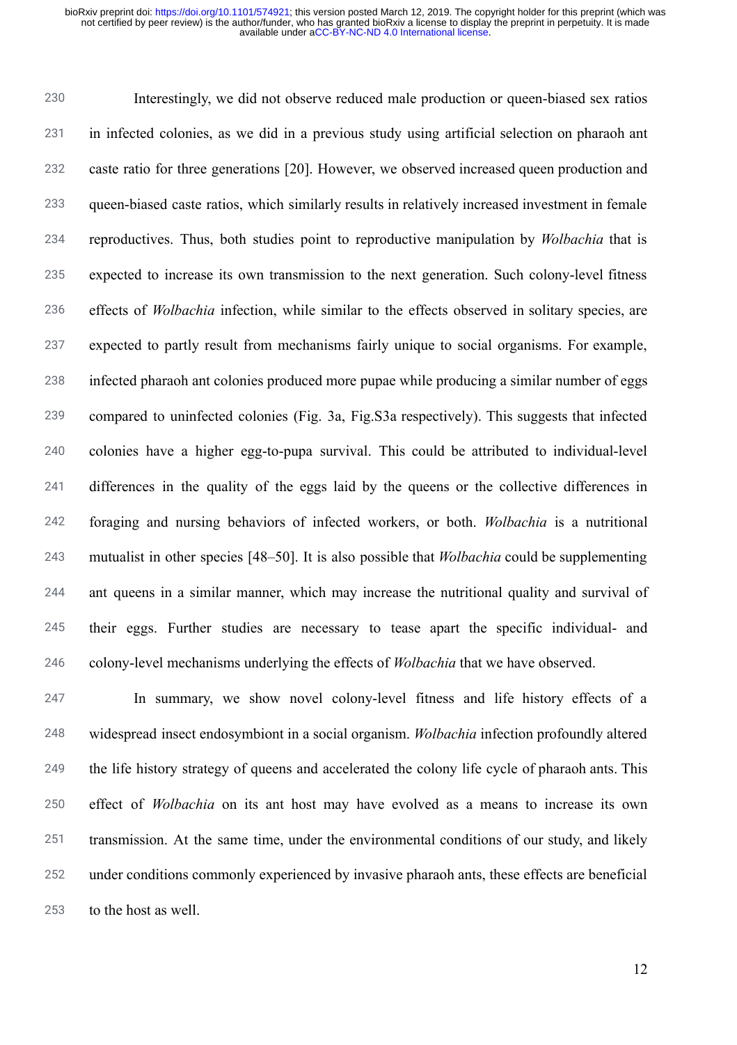230 231 232 233 234 235 236 237 238 239 240 241 242 243 244 245 246 Interestingly, we did not observe reduced male production or queen-biased sex ratios in infected colonies, as we did in a previous study using artificial selection on pharaoh ant caste ratio for three generations [20]. However, we observed increased queen production and queen-biased caste ratios, which similarly results in relatively increased investment in female reproductives. Thus, both studies point to reproductive manipulation by *Wolbachia* that is expected to increase its own transmission to the next generation. Such colony-level fitness effects of *Wolbachia* infection, while similar to the effects observed in solitary species, are expected to partly result from mechanisms fairly unique to social organisms. For example, infected pharaoh ant colonies produced more pupae while producing a similar number of eggs compared to uninfected colonies (Fig. 3a, Fig.S3a respectively). This suggests that infected colonies have a higher egg-to-pupa survival. This could be attributed to individual-level differences in the quality of the eggs laid by the queens or the collective differences in foraging and nursing behaviors of infected workers, or both. *Wolbachia* is a nutritional mutualist in other species [48–50]. It is also possible that *Wolbachia* could be supplementing ant queens in a similar manner, which may increase the nutritional quality and survival of their eggs. Further studies are necessary to tease apart the specific individual- and colony-level mechanisms underlying the effects of *Wolbachia* that we have observed.

247 248 249 250 251 252 253 In summary, we show novel colony-level fitness and life history effects of a widespread insect endosymbiont in a social organism. *Wolbachia* infection profoundly altered the life history strategy of queens and accelerated the colony life cycle of pharaoh ants. This effect of *Wolbachia* on its ant host may have evolved as a means to increase its own transmission. At the same time, under the environmental conditions of our study, and likely under conditions commonly experienced by invasive pharaoh ants, these effects are beneficial to the host as well.

12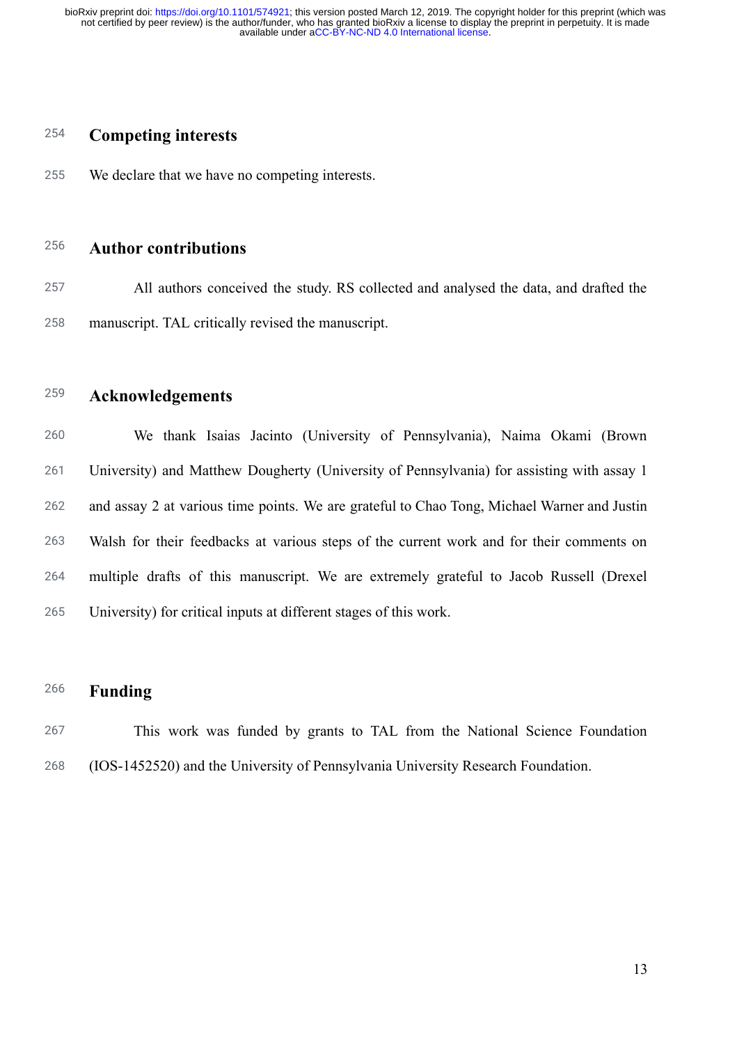## 254 **Competing interests**

255 We declare that we have no competing interests.

## 256 **Author contributions**

257 258 All authors conceived the study. RS collected and analysed the data, and drafted the manuscript. TAL critically revised the manuscript.

259 **Acknowledgements** 

260 261 262 263 264 265 We thank Isaias Jacinto (University of Pennsylvania), Naima Okami (Brown University) and Matthew Dougherty (University of Pennsylvania) for assisting with assay 1 and assay 2 at various time points. We are grateful to Chao Tong, Michael Warner and Justin Walsh for their feedbacks at various steps of the current work and for their comments on multiple drafts of this manuscript. We are extremely grateful to Jacob Russell (Drexel University) for critical inputs at different stages of this work.

## 266 **Funding**

267 268 This work was funded by grants to TAL from the National Science Foundation (IOS-1452520) and the University of Pennsylvania University Research Foundation.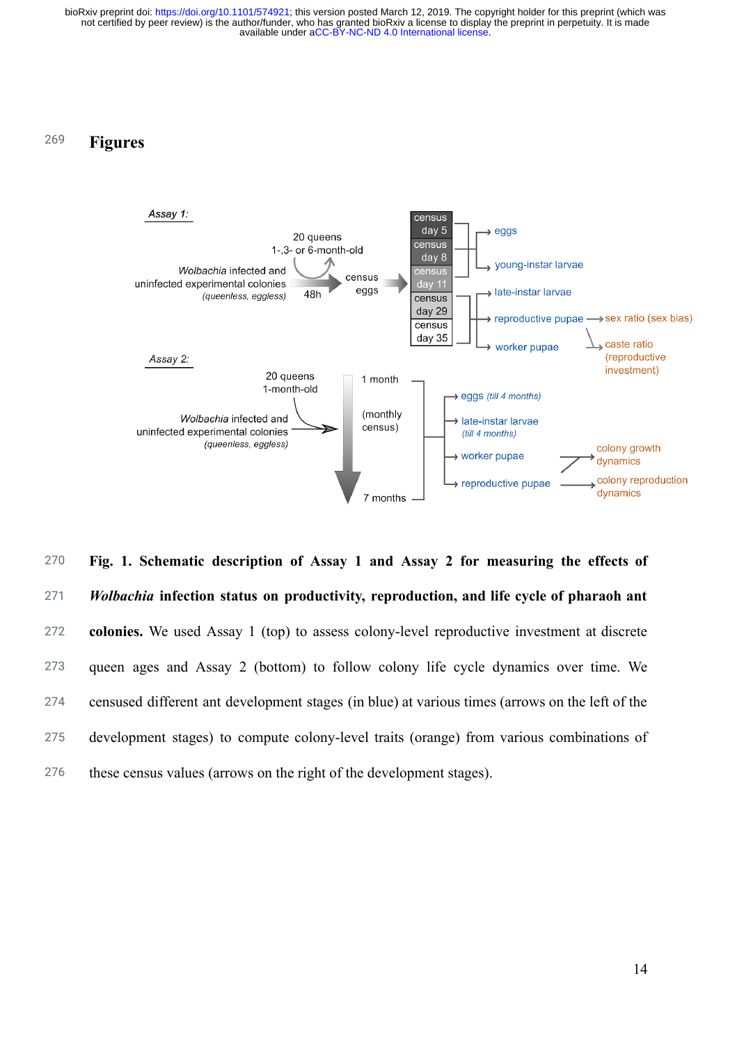## 269 **Figures**



270 271 272 273 274 275 276 **Fig. 1. Schematic description of Assay 1 and Assay 2 for measuring the effects of**  *Wolbachia* **infection status on productivity, reproduction, and life cycle of pharaoh ant colonies.** We used Assay 1 (top) to assess colony-level reproductive investment at discrete queen ages and Assay 2 (bottom) to follow colony life cycle dynamics over time. We censused different ant development stages (in blue) at various times (arrows on the left of the development stages) to compute colony-level traits (orange) from various combinations of these census values (arrows on the right of the development stages).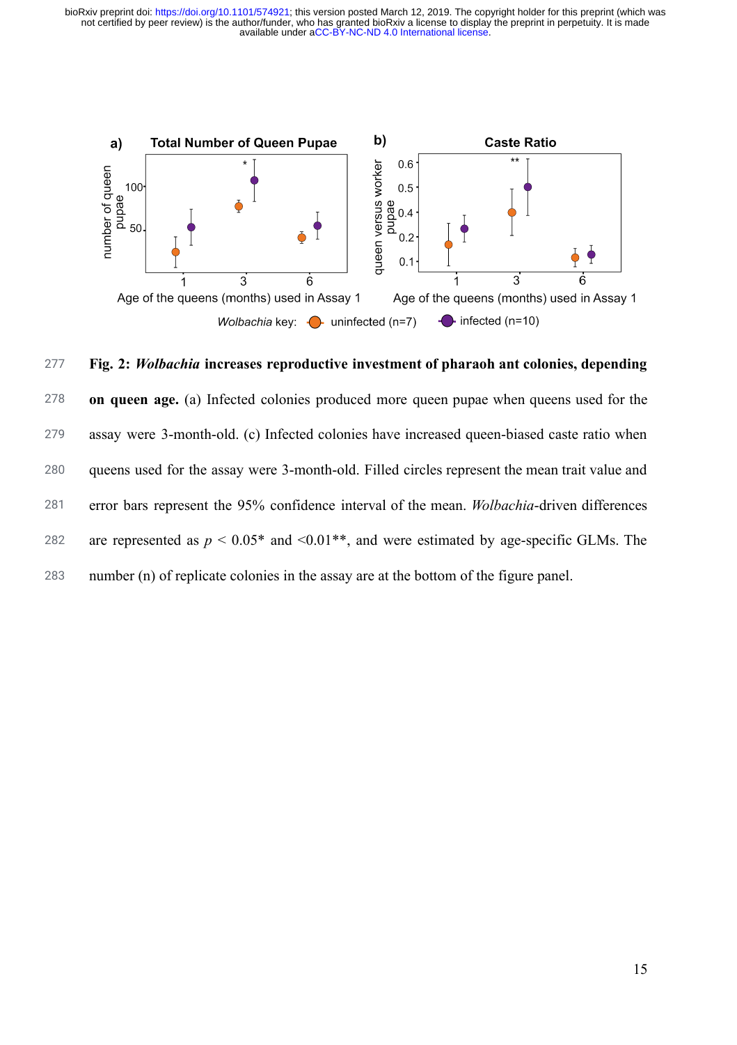

277 278 279 280 281 282 283 **Fig. 2:** *Wolbachia* **increases reproductive investment of pharaoh ant colonies, depending on queen age.** (a) Infected colonies produced more queen pupae when queens used for the assay were 3-month-old. (c) Infected colonies have increased queen-biased caste ratio when queens used for the assay were 3-month-old. Filled circles represent the mean trait value and error bars represent the 95% confidence interval of the mean. *Wolbachia* -driven differences are represented as  $p < 0.05^*$  and  $\le 0.01^{**}$ , and were estimated by age-specific GLMs. The number (n) of replicate colonies in the assay are at the bottom of the figure panel.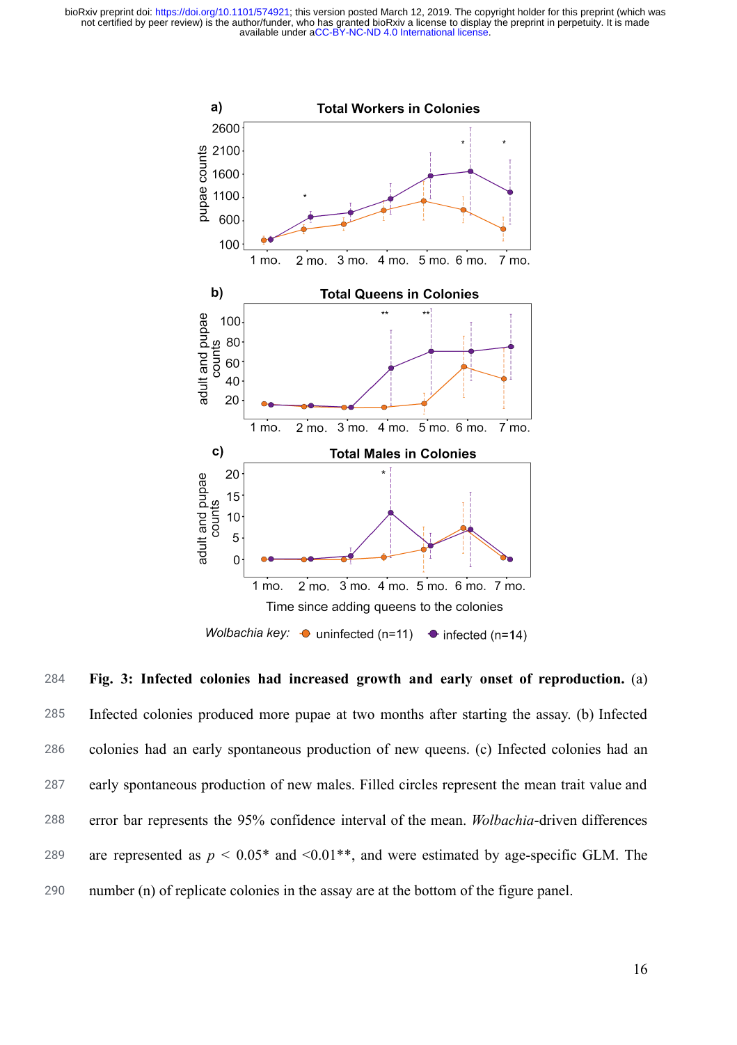

284 285 286 287 288 289 290 **Fig. 3: Infected colonies had increased growth and early onset of reproduction.** (a) Infected colonies produced more pupae at two months after starting the assay. (b) Infected colonies had an early spontaneous production of new queens. (c) Infected colonies had an early spontaneous production of new males. Filled circles represent the mean trait value and error bar represents the 95% confidence interval of the mean. *Wolbachia* -driven differences are represented as  $p < 0.05^*$  and  $\le 0.01^{**}$ , and were estimated by age-specific GLM. The number (n) of replicate colonies in the assay are at the bottom of the figure panel.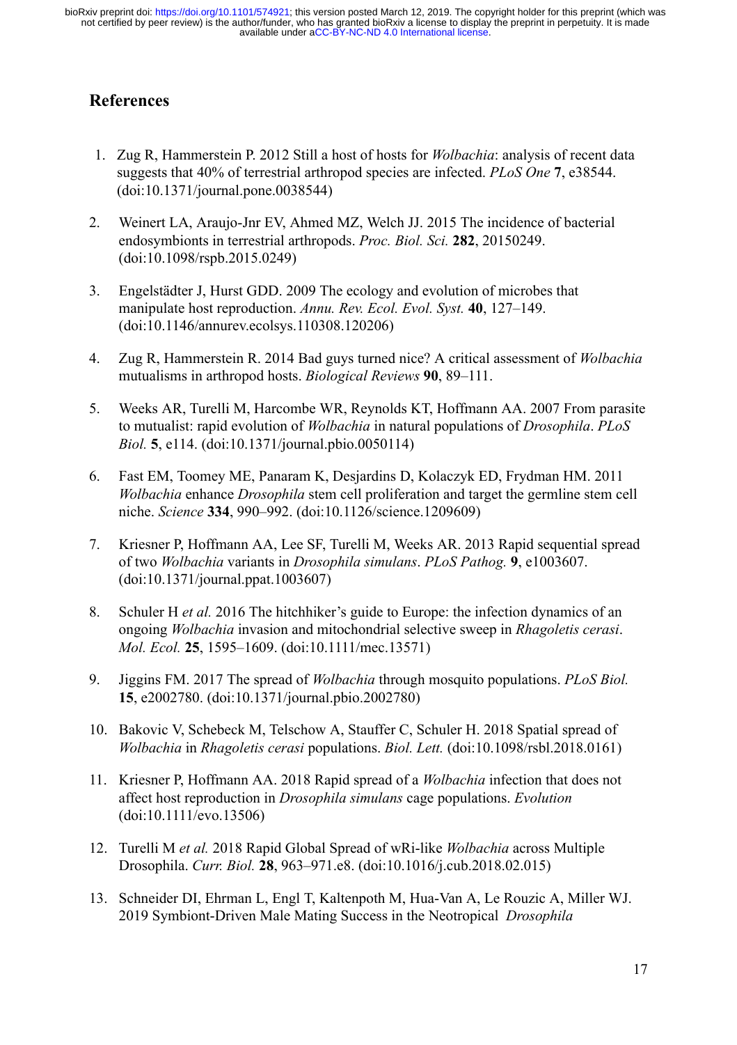# **References**

- 1. [Zug R, Hammerstein P. 2012 Still a host of hosts for](http://paperpile.com/b/ONKCSt/D4P6) *[Wolbachia](http://paperpile.com/b/ONKCSt/D4P6)* [: analysis of recent data](http://paperpile.com/b/ONKCSt/D4P6)  [suggests that 40% of terrestrial arthropod species are infected.](http://paperpile.com/b/ONKCSt/D4P6) *[PLoS One](http://paperpile.com/b/ONKCSt/D4P6)* **[7](http://paperpile.com/b/ONKCSt/D4P6)** [, e38544.](http://paperpile.com/b/ONKCSt/D4P6)  [\(doi:](http://paperpile.com/b/ONKCSt/D4P6) [10.1371/journal.pone.0038544](http://dx.doi.org/10.1371/journal.pone.0038544) [\)](http://paperpile.com/b/ONKCSt/D4P6)
- 2. [Weinert LA, Araujo-Jnr EV, Ahmed MZ, Welch JJ. 2015 The incidence of bacterial](http://paperpile.com/b/ONKCSt/7l2U)  [endosymbionts in terrestrial arthropods.](http://paperpile.com/b/ONKCSt/7l2U) *[Proc. Biol. Sci.](http://paperpile.com/b/ONKCSt/7l2U)* **[282](http://paperpile.com/b/ONKCSt/7l2U)** [, 20150249.](http://paperpile.com/b/ONKCSt/7l2U)  [\(doi:](http://paperpile.com/b/ONKCSt/7l2U) [10.1098/rspb.2015.0249](http://dx.doi.org/10.1098/rspb.2015.0249) [\)](http://paperpile.com/b/ONKCSt/7l2U)
- 3. [Engelstädter J, Hurst GDD. 2009 The ecology and evolution of microbes that](http://paperpile.com/b/ONKCSt/YPAP)  [manipulate host reproduction.](http://paperpile.com/b/ONKCSt/YPAP) [Annu. Rev. Ecol. Evol. Syst.](http://paperpile.com/b/ONKCSt/YPAP) [40](http://paperpile.com/b/ONKCSt/YPAP), 127–149. [\(doi:](http://paperpile.com/b/ONKCSt/YPAP) [10.1146/annurev.ecolsys.110308.120206](http://dx.doi.org/10.1146/annurev.ecolsys.110308.120206) [\)](http://paperpile.com/b/ONKCSt/YPAP)
- 4. [Zug R, Hammerstein R. 2014 Bad guys turned nice? A critical assessment of](http://paperpile.com/b/ONKCSt/jmXr) *[Wolbachia](http://paperpile.com/b/ONKCSt/jmXr)* [mutualisms in arthropod hosts.](http://paperpile.com/b/ONKCSt/jmXr) *[Biological Reviews](http://paperpile.com/b/ONKCSt/jmXr)* **[90](http://paperpile.com/b/ONKCSt/jmXr)** [, 89–111.](http://paperpile.com/b/ONKCSt/jmXr)
- 5. [Weeks AR, Turelli M, Harcombe WR, Reynolds KT, Hoffmann AA. 2007 From parasite](http://paperpile.com/b/ONKCSt/qxDP)  [to mutualist: rapid evolution of](http://paperpile.com/b/ONKCSt/qxDP) *[Wolbachia](http://paperpile.com/b/ONKCSt/qxDP)* [in natural populations of](http://paperpile.com/b/ONKCSt/qxDP) *[Drosophila](http://paperpile.com/b/ONKCSt/qxDP)* [.](http://paperpile.com/b/ONKCSt/qxDP) *[PLoS](http://paperpile.com/b/ONKCSt/qxDP)  Biol.* **5**[, e114. \(doi:](http://paperpile.com/b/ONKCSt/qxDP)10.1371/journal.pbio.0050114)
- 6. [Fast EM, Toomey ME, Panaram K, Desjardins D, Kolaczyk ED, Frydman HM. 2011](http://paperpile.com/b/ONKCSt/FAy8)  *[Wolbachia](http://paperpile.com/b/ONKCSt/FAy8)* [enhance](http://paperpile.com/b/ONKCSt/FAy8) *[Drosophila](http://paperpile.com/b/ONKCSt/FAy8)* [stem cell proliferation and target the germline stem cell](http://paperpile.com/b/ONKCSt/FAy8)  [niche.](http://paperpile.com/b/ONKCSt/FAy8) *[Science](http://paperpile.com/b/ONKCSt/FAy8)* **[334](http://paperpile.com/b/ONKCSt/FAy8)** [, 990–992. \(doi:](http://paperpile.com/b/ONKCSt/FAy8) [10.1126/science.1209609](http://dx.doi.org/10.1126/science.1209609) [\)](http://paperpile.com/b/ONKCSt/FAy8)
- 7. [Kriesner P, Hoffmann AA, Lee SF, Turelli M, Weeks AR. 2013 Rapid sequential spread](http://paperpile.com/b/ONKCSt/nvo1)  [of two](http://paperpile.com/b/ONKCSt/nvo1) *[Wolbachia](http://paperpile.com/b/ONKCSt/nvo1)* [variants in](http://paperpile.com/b/ONKCSt/nvo1) *[Drosophila simulans](http://paperpile.com/b/ONKCSt/nvo1)* [.](http://paperpile.com/b/ONKCSt/nvo1) *[PLoS Pathog.](http://paperpile.com/b/ONKCSt/nvo1)* **[9](http://paperpile.com/b/ONKCSt/nvo1)** [, e1003607.](http://paperpile.com/b/ONKCSt/nvo1)  [\(doi:](http://paperpile.com/b/ONKCSt/nvo1) [10.1371/journal.ppat.1003607](http://dx.doi.org/10.1371/journal.ppat.1003607) [\)](http://paperpile.com/b/ONKCSt/nvo1)
- 8. [Schuler H](http://paperpile.com/b/ONKCSt/G4ii) *[et al.](http://paperpile.com/b/ONKCSt/G4ii)* [2016 The hitchhiker's guide to Europe: the infection dynamics of an](http://paperpile.com/b/ONKCSt/G4ii)  [ongoing](http://paperpile.com/b/ONKCSt/G4ii) *[Wolbachia](http://paperpile.com/b/ONKCSt/G4ii)* [invasion and mitochondrial selective sweep in](http://paperpile.com/b/ONKCSt/G4ii) *[Rhagoletis cerasi](http://paperpile.com/b/ONKCSt/G4ii)* [.](http://paperpile.com/b/ONKCSt/G4ii)  *[Mol. Ecol.](http://paperpile.com/b/ONKCSt/G4ii)* **[25](http://paperpile.com/b/ONKCSt/G4ii)** [, 1595–1609. \(doi:](http://paperpile.com/b/ONKCSt/G4ii) [10.1111/mec.13571](http://dx.doi.org/10.1111/mec.13571) [\)](http://paperpile.com/b/ONKCSt/G4ii)
- 9. [Jiggins FM. 2017 The spread of](http://paperpile.com/b/ONKCSt/SxqA) *[Wolbachia](http://paperpile.com/b/ONKCSt/SxqA)* [through mosquito populations.](http://paperpile.com/b/ONKCSt/SxqA) *[PLoS Biol.](http://paperpile.com/b/ONKCSt/SxqA)* **[15](http://paperpile.com/b/ONKCSt/SxqA)** [, e2002780. \(doi:](http://paperpile.com/b/ONKCSt/SxqA) [10.1371/journal.pbio.2002780](http://dx.doi.org/10.1371/journal.pbio.2002780) [\)](http://paperpile.com/b/ONKCSt/SxqA)
- 10. [Bakovic V, Schebeck M, Telschow A, Stauffer C, Schuler H. 2018 Spatial spread of](http://paperpile.com/b/ONKCSt/9tj0)  *[Wolbachia](http://paperpile.com/b/ONKCSt/9tj0)* [in](http://paperpile.com/b/ONKCSt/9tj0) *[Rhagoletis cerasi](http://paperpile.com/b/ONKCSt/9tj0)* [populations.](http://paperpile.com/b/ONKCSt/9tj0) *[Biol. Lett.](http://paperpile.com/b/ONKCSt/9tj0)* [\(doi:](http://paperpile.com/b/ONKCSt/9tj0) [10.1098/rsbl.2018.0161](http://dx.doi.org/10.1098/rsbl.2018.0161) [\)](http://paperpile.com/b/ONKCSt/9tj0)
- 11. [Kriesner P, Hoffmann AA. 2018 Rapid spread of a](http://paperpile.com/b/ONKCSt/xbmE) *[Wolbachia](http://paperpile.com/b/ONKCSt/xbmE)* [infection that does not](http://paperpile.com/b/ONKCSt/xbmE)  [affect host reproduction in](http://paperpile.com/b/ONKCSt/xbmE) *[Drosophila simulans](http://paperpile.com/b/ONKCSt/xbmE)* [cage populations.](http://paperpile.com/b/ONKCSt/xbmE) *[Evolution](http://paperpile.com/b/ONKCSt/xbmE)* [\(doi:](http://paperpile.com/b/ONKCSt/xbmE)10.1111/evo.13506)
- 12. [Turelli M](http://paperpile.com/b/ONKCSt/jEyw) *[et al.](http://paperpile.com/b/ONKCSt/jEyw)* [2018 Rapid Global Spread of wRi-like](http://paperpile.com/b/ONKCSt/jEyw) *[Wolbachia](http://paperpile.com/b/ONKCSt/jEyw)* [across Multiple](http://paperpile.com/b/ONKCSt/jEyw)  [Drosophila.](http://paperpile.com/b/ONKCSt/jEyw) *[Curr. Biol.](http://paperpile.com/b/ONKCSt/jEyw)* **[28](http://paperpile.com/b/ONKCSt/jEyw)** [, 963–971.e8. \(doi:](http://paperpile.com/b/ONKCSt/jEyw) [10.1016/j.cub.2018.02.015](http://dx.doi.org/10.1016/j.cub.2018.02.015) [\)](http://paperpile.com/b/ONKCSt/jEyw)
- 13. [Schneider DI, Ehrman L, Engl T, Kaltenpoth M, Hua-Van A, Le Rouzic A, Miller WJ.](http://paperpile.com/b/ONKCSt/GcRX)  [2019 Symbiont-Driven Male Mating Success in the Neotropical](http://paperpile.com/b/ONKCSt/GcRX) *[Drosophila](http://paperpile.com/b/ONKCSt/GcRX)*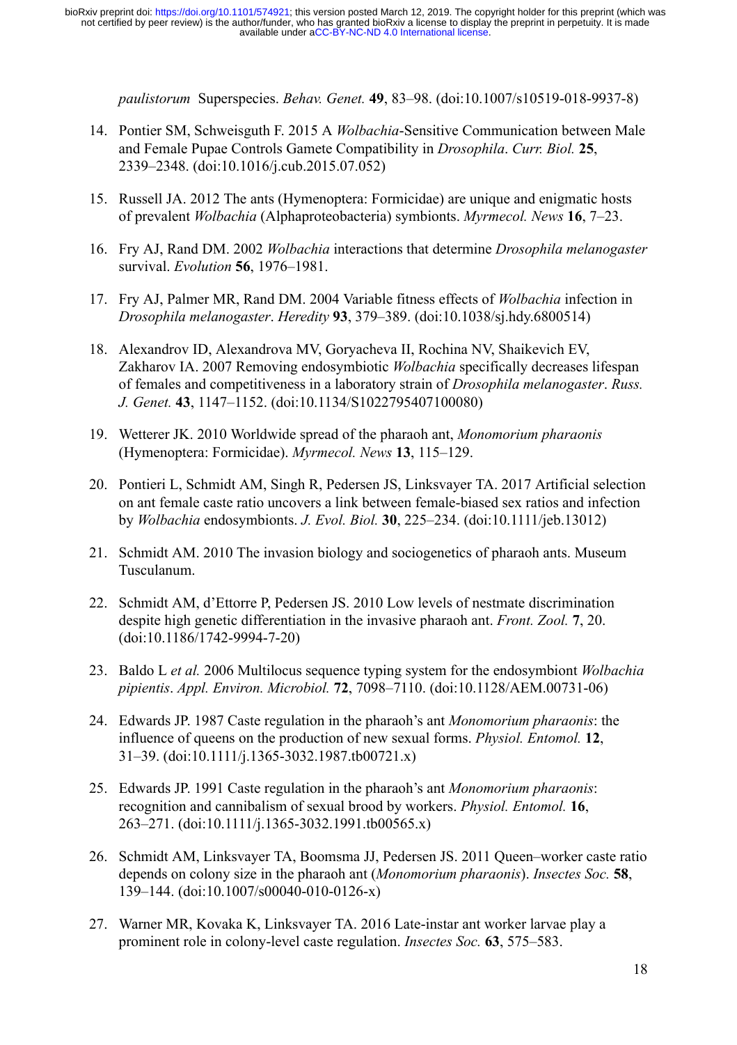*[paulistorum](http://paperpile.com/b/ONKCSt/GcRX)* [Superspecies.](http://paperpile.com/b/ONKCSt/GcRX) *[Behav. Genet.](http://paperpile.com/b/ONKCSt/GcRX)* **[49](http://paperpile.com/b/ONKCSt/GcRX)** [, 83–98. \(doi:](http://paperpile.com/b/ONKCSt/GcRX) [10.1007/s10519-018-9937-8](http://dx.doi.org/10.1007/s10519-018-9937-8) [\)](http://paperpile.com/b/ONKCSt/GcRX) 

- 14. [Pontier SM, Schweisguth F. 2015 A](http://paperpile.com/b/ONKCSt/k5kN) *[Wolbachia](http://paperpile.com/b/ONKCSt/k5kN)* [-Sensitive Communication between Male](http://paperpile.com/b/ONKCSt/k5kN)  [and Female Pupae Controls Gamete Compatibility in](http://paperpile.com/b/ONKCSt/k5kN) *[Drosophila](http://paperpile.com/b/ONKCSt/k5kN)* [.](http://paperpile.com/b/ONKCSt/k5kN) *[Curr. Biol.](http://paperpile.com/b/ONKCSt/k5kN)* **[25](http://paperpile.com/b/ONKCSt/k5kN)** [,](http://paperpile.com/b/ONKCSt/k5kN)  [2339–2348. \(doi:](http://paperpile.com/b/ONKCSt/k5kN) [10.1016/j.cub.2015.07.052](http://dx.doi.org/10.1016/j.cub.2015.07.052) [\)](http://paperpile.com/b/ONKCSt/k5kN)
- 15. [Russell JA. 2012 The ants \(Hymenoptera: Formicidae\) are unique and enigmatic hosts](http://paperpile.com/b/ONKCSt/Fx2v)  [of prevalent](http://paperpile.com/b/ONKCSt/Fx2v) *[Wolbachia](http://paperpile.com/b/ONKCSt/Fx2v)* [\(Alphaproteobacteria\) symbionts.](http://paperpile.com/b/ONKCSt/Fx2v) *[Myrmecol. News](http://paperpile.com/b/ONKCSt/Fx2v)* **[16](http://paperpile.com/b/ONKCSt/Fx2v)** [, 7–23.](http://paperpile.com/b/ONKCSt/Fx2v)
- 16. [Fry AJ, Rand DM. 2002](http://paperpile.com/b/ONKCSt/W12Y) *[Wolbachia](http://paperpile.com/b/ONKCSt/W12Y)* [interactions that determine](http://paperpile.com/b/ONKCSt/W12Y) *[Drosophila melanogaster](http://paperpile.com/b/ONKCSt/W12Y)* [survival.](http://paperpile.com/b/ONKCSt/W12Y) *[Evolution](http://paperpile.com/b/ONKCSt/W12Y)* **[56](http://paperpile.com/b/ONKCSt/W12Y)** [, 1976–1981.](http://paperpile.com/b/ONKCSt/W12Y)
- 17. [Fry AJ, Palmer MR, Rand DM. 2004 Variable fitness effects of](http://paperpile.com/b/ONKCSt/C3kr) *[Wolbachia](http://paperpile.com/b/ONKCSt/C3kr)* [infection in](http://paperpile.com/b/ONKCSt/C3kr)  *[Drosophila melanogaster](http://paperpile.com/b/ONKCSt/C3kr)* [.](http://paperpile.com/b/ONKCSt/C3kr) *[Heredity](http://paperpile.com/b/ONKCSt/C3kr)* **[93](http://paperpile.com/b/ONKCSt/C3kr)** [, 379–389. \(doi:](http://paperpile.com/b/ONKCSt/C3kr) [10.1038/sj.hdy.6800514](http://dx.doi.org/10.1038/sj.hdy.6800514) [\)](http://paperpile.com/b/ONKCSt/C3kr)
- 18. [Alexandrov ID, Alexandrova MV, Goryacheva II, Rochina NV, Shaikevich EV,](http://paperpile.com/b/ONKCSt/7H2t)  [Zakharov IA. 2007 Removing endosymbiotic](http://paperpile.com/b/ONKCSt/7H2t) *[Wolbachia](http://paperpile.com/b/ONKCSt/7H2t)* [specifically decreases lifespan](http://paperpile.com/b/ONKCSt/7H2t)  [of females and competitiveness in a laboratory strain of](http://paperpile.com/b/ONKCSt/7H2t) *[Drosophila melanogaster](http://paperpile.com/b/ONKCSt/7H2t)* [.](http://paperpile.com/b/ONKCSt/7H2t) *[Russ.](http://paperpile.com/b/ONKCSt/7H2t)  [J. Genet.](http://paperpile.com/b/ONKCSt/7H2t)* **[43](http://paperpile.com/b/ONKCSt/7H2t)** [, 1147–1152. \(doi:](http://paperpile.com/b/ONKCSt/7H2t) [10.1134/S1022795407100080](http://dx.doi.org/10.1134/S1022795407100080) [\)](http://paperpile.com/b/ONKCSt/7H2t)
- 19. [Wetterer JK. 2010 Worldwide spread of the pharaoh ant,](http://paperpile.com/b/ONKCSt/R66k) *[Monomorium pharaonis](http://paperpile.com/b/ONKCSt/R66k)* [\(Hymenoptera: Formicidae\).](http://paperpile.com/b/ONKCSt/R66k) *[Myrmecol. News](http://paperpile.com/b/ONKCSt/R66k)* **[13](http://paperpile.com/b/ONKCSt/R66k)** [, 115–129.](http://paperpile.com/b/ONKCSt/R66k)
- 20. [Pontieri L, Schmidt AM, Singh R, Pedersen JS, Linksvayer TA. 2017 Artificial selection](http://paperpile.com/b/ONKCSt/3AIA)  [on ant female caste ratio uncovers a link between female-biased sex ratios and infection](http://paperpile.com/b/ONKCSt/3AIA) [by](http://paperpile.com/b/ONKCSt/3AIA) *[Wolbachia](http://paperpile.com/b/ONKCSt/3AIA)* [endosymbionts.](http://paperpile.com/b/ONKCSt/3AIA) *[J. Evol. Biol.](http://paperpile.com/b/ONKCSt/3AIA)* **[30](http://paperpile.com/b/ONKCSt/3AIA)** [, 225–234. \(doi:](http://paperpile.com/b/ONKCSt/3AIA) [10.1111/jeb.13012](http://dx.doi.org/10.1111/jeb.13012) [\)](http://paperpile.com/b/ONKCSt/3AIA)
- 21. [Schmidt AM. 2010 The invasion biology and sociogenetics of pharaoh ants. Museum](http://paperpile.com/b/ONKCSt/SYN5)  [Tusculanum.](http://paperpile.com/b/ONKCSt/SYN5)
- 22. [Schmidt AM, d'Ettorre P, Pedersen JS. 2010 Low levels of nestmate discrimination](http://paperpile.com/b/ONKCSt/sGC7)  [despite high genetic differentiation in the invasive pharaoh ant.](http://paperpile.com/b/ONKCSt/sGC7) *[Front. Zool.](http://paperpile.com/b/ONKCSt/sGC7)* **[7](http://paperpile.com/b/ONKCSt/sGC7)** [, 20.](http://paperpile.com/b/ONKCSt/sGC7)  [\(doi:](http://paperpile.com/b/ONKCSt/sGC7) [10.1186/1742-9994-7-20](http://dx.doi.org/10.1186/1742-9994-7-20) [\)](http://paperpile.com/b/ONKCSt/sGC7)
- 23. [Baldo L](http://paperpile.com/b/ONKCSt/hCML) *[et al.](http://paperpile.com/b/ONKCSt/hCML)* [2006 Multilocus sequence typing system for the endosymbiont](http://paperpile.com/b/ONKCSt/hCML) *[Wolbachia](http://paperpile.com/b/ONKCSt/hCML)  [pipientis](http://paperpile.com/b/ONKCSt/hCML)* [.](http://paperpile.com/b/ONKCSt/hCML) *[Appl. Environ. Microbiol.](http://paperpile.com/b/ONKCSt/hCML)* **[72](http://paperpile.com/b/ONKCSt/hCML)** [, 7098–7110. \(doi:](http://paperpile.com/b/ONKCSt/hCML) [10.1128/AEM.00731-06](http://dx.doi.org/10.1128/AEM.00731-06) [\)](http://paperpile.com/b/ONKCSt/hCML)
- 24. [Edwards JP. 1987 Caste regulation in the pharaoh's ant](http://paperpile.com/b/ONKCSt/9H0x) *[Monomorium pharaonis](http://paperpile.com/b/ONKCSt/9H0x)* [: the](http://paperpile.com/b/ONKCSt/9H0x)  [influence of queens on the production of new sexual forms.](http://paperpile.com/b/ONKCSt/9H0x) *[Physiol. Entomol.](http://paperpile.com/b/ONKCSt/9H0x)* **[12](http://paperpile.com/b/ONKCSt/9H0x)** [,](http://paperpile.com/b/ONKCSt/9H0x)  [31–39. \(doi:](http://paperpile.com/b/ONKCSt/9H0x) [10.1111/j.1365-3032.1987.tb00721.x](http://dx.doi.org/10.1111/j.1365-3032.1987.tb00721.x) [\)](http://paperpile.com/b/ONKCSt/9H0x)
- 25. [Edwards JP. 1991 Caste regulation in the pharaoh's ant](http://paperpile.com/b/ONKCSt/7QYv) *[Monomorium pharaonis](http://paperpile.com/b/ONKCSt/7QYv)* [:](http://paperpile.com/b/ONKCSt/7QYv)  [recognition and cannibalism of sexual brood by workers.](http://paperpile.com/b/ONKCSt/7QYv) *[Physiol. Entomol.](http://paperpile.com/b/ONKCSt/7QYv)* **[16](http://paperpile.com/b/ONKCSt/7QYv)** [,](http://paperpile.com/b/ONKCSt/7QYv)  [263–271. \(doi:](http://paperpile.com/b/ONKCSt/7QYv) [10.1111/j.1365-3032.1991.tb00565.x](http://dx.doi.org/10.1111/j.1365-3032.1991.tb00565.x) [\)](http://paperpile.com/b/ONKCSt/7QYv)
- 26. [Schmidt AM, Linksvayer TA, Boomsma JJ, Pedersen JS. 2011 Queen–worker caste ratio](http://paperpile.com/b/ONKCSt/lqp1)  [depends on colony size in the pharaoh ant \(](http://paperpile.com/b/ONKCSt/lqp1) *[Monomorium pharaonis](http://paperpile.com/b/ONKCSt/lqp1)* [\).](http://paperpile.com/b/ONKCSt/lqp1) *[Insectes Soc.](http://paperpile.com/b/ONKCSt/lqp1)* **[58](http://paperpile.com/b/ONKCSt/lqp1)** [,](http://paperpile.com/b/ONKCSt/lqp1)  [139–144. \(doi:](http://paperpile.com/b/ONKCSt/lqp1) [10.1007/s00040-010-0126-x](http://dx.doi.org/10.1007/s00040-010-0126-x) [\)](http://paperpile.com/b/ONKCSt/lqp1)
- 27. [Warner MR, Kovaka K, Linksvayer TA. 2016 Late-instar ant worker larvae play a](http://paperpile.com/b/ONKCSt/zlq3)  [prominent role in colony-level caste regulation.](http://paperpile.com/b/ONKCSt/zlq3) *Insectes Soc.* **63**, 575–583.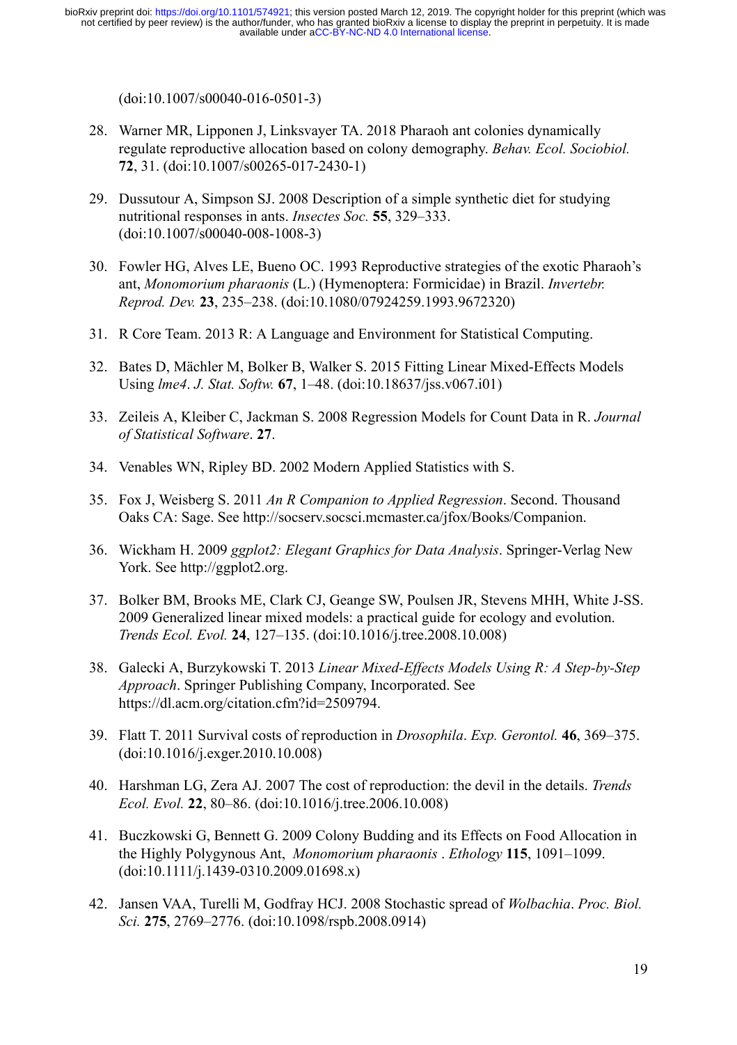[\(doi:](http://paperpile.com/b/ONKCSt/zlq3) [10.1007/s00040-016-0501-3](http://dx.doi.org/10.1007/s00040-016-0501-3) [\)](http://paperpile.com/b/ONKCSt/zlq3)

- 28. [Warner MR, Lipponen J, Linksvayer TA. 2018 Pharaoh ant colonies dynamically](http://paperpile.com/b/ONKCSt/b9Ok)  [regulate reproductive allocation based on colony demography.](http://paperpile.com/b/ONKCSt/b9Ok) *[Behav. Ecol. Sociobiol.](http://paperpile.com/b/ONKCSt/b9Ok)* **[72](http://paperpile.com/b/ONKCSt/b9Ok)** [, 31. \(doi:](http://paperpile.com/b/ONKCSt/b9Ok) [10.1007/s00265-017-2430-1](http://dx.doi.org/10.1007/s00265-017-2430-1) [\)](http://paperpile.com/b/ONKCSt/b9Ok)
- 29. [Dussutour A, Simpson SJ. 2008 Description of a simple synthetic diet for studying](http://paperpile.com/b/ONKCSt/rUdy)  [nutritional responses in ants.](http://paperpile.com/b/ONKCSt/rUdy) *Insectes Soc.* **[55](http://paperpile.com/b/ONKCSt/rUdy)**, 329–333. [\(doi:](http://paperpile.com/b/ONKCSt/rUdy) [10.1007/s00040-008-1008-3](http://dx.doi.org/10.1007/s00040-008-1008-3) [\)](http://paperpile.com/b/ONKCSt/rUdy)
- 30. [Fowler HG, Alves LE, Bueno OC. 1993 Reproductive strategies of the exotic Pharaoh's](http://paperpile.com/b/ONKCSt/5omg)  [ant,](http://paperpile.com/b/ONKCSt/5omg) *[Monomorium pharaonis](http://paperpile.com/b/ONKCSt/5omg)* [\(L.\) \(Hymenoptera: Formicidae\) in Brazil.](http://paperpile.com/b/ONKCSt/5omg) *[Invertebr.](http://paperpile.com/b/ONKCSt/5omg)  [Reprod. Dev.](http://paperpile.com/b/ONKCSt/5omg)* **[23](http://paperpile.com/b/ONKCSt/5omg)** [, 235–238. \(doi:](http://paperpile.com/b/ONKCSt/5omg) [10.1080/07924259.1993.9672320](http://dx.doi.org/10.1080/07924259.1993.9672320) [\)](http://paperpile.com/b/ONKCSt/5omg)
- 31. [R Core Team. 2013 R: A Language and Environment for Statistical Computing.](http://paperpile.com/b/ONKCSt/VeFy)
- 32. [Bates D, Mächler M, Bolker B, Walker S. 2015 Fitting Linear Mixed-Effects Models](http://paperpile.com/b/ONKCSt/Uhl9)  [Using](http://paperpile.com/b/ONKCSt/Uhl9) *[lme4](http://paperpile.com/b/ONKCSt/Uhl9)* [.](http://paperpile.com/b/ONKCSt/Uhl9) *[J. Stat. Softw.](http://paperpile.com/b/ONKCSt/Uhl9)* **[67](http://paperpile.com/b/ONKCSt/Uhl9)** [, 1–48. \(doi:](http://paperpile.com/b/ONKCSt/Uhl9) [10.18637/jss.v067.i01](http://dx.doi.org/10.18637/jss.v067.i01) [\)](http://paperpile.com/b/ONKCSt/Uhl9)
- 33. [Zeileis A, Kleiber C, Jackman S. 2008 Regression Models for Count Data in R.](http://paperpile.com/b/ONKCSt/tF3e) *[Journal](http://paperpile.com/b/ONKCSt/tF3e)  [of Statistical Software](http://paperpile.com/b/ONKCSt/tF3e)* [.](http://paperpile.com/b/ONKCSt/tF3e) **[27](http://paperpile.com/b/ONKCSt/tF3e)** [.](http://paperpile.com/b/ONKCSt/tF3e)
- 34. [Venables WN, Ripley BD. 2002 Modern Applied Statistics with S.](http://paperpile.com/b/ONKCSt/SujU)
- 35. [Fox J, Weisberg S. 2011](http://paperpile.com/b/ONKCSt/Gm74) *[An R Companion to Applied Regression](http://paperpile.com/b/ONKCSt/Gm74)* [. Second. Thousand](http://paperpile.com/b/ONKCSt/Gm74)  [Oaks CA: Sage. See](http://paperpile.com/b/ONKCSt/Gm74) <http://socserv.socsci.mcmaster.ca/jfox/Books/Companion> [.](http://paperpile.com/b/ONKCSt/Gm74)
- 36. [Wickham H. 2009](http://paperpile.com/b/ONKCSt/mILE) *[ggplot2: Elegant Graphics for Data Analysis](http://paperpile.com/b/ONKCSt/mILE)* [. Springer-Verlag New](http://paperpile.com/b/ONKCSt/mILE)  [York. See](http://paperpile.com/b/ONKCSt/mILE) [http://ggplot2.org](http://ggplot2.org/).
- 37. [Bolker BM, Brooks ME, Clark CJ, Geange SW, Poulsen JR, Stevens MHH, White J-SS.](http://paperpile.com/b/ONKCSt/n0mW)  [2009 Generalized linear mixed models: a practical guide for ecology and evolution.](http://paperpile.com/b/ONKCSt/n0mW) *[Trends Ecol. Evol.](http://paperpile.com/b/ONKCSt/n0mW)* **[24](http://paperpile.com/b/ONKCSt/n0mW)** [, 127–135. \(doi:](http://paperpile.com/b/ONKCSt/n0mW) [10.1016/j.tree.2008.10.008](http://dx.doi.org/10.1016/j.tree.2008.10.008) [\)](http://paperpile.com/b/ONKCSt/n0mW)
- 38. [Galecki A, Burzykowski T. 2013](http://paperpile.com/b/ONKCSt/zlk7) *[Linear Mixed-Effects Models Using R: A Step-by-Step](http://paperpile.com/b/ONKCSt/zlk7)  [Approach](http://paperpile.com/b/ONKCSt/zlk7)* [. Springer Publishing Company, Incorporated. See](http://paperpile.com/b/ONKCSt/zlk7)  <https://dl.acm.org/citation.cfm?id=2509794> [.](http://paperpile.com/b/ONKCSt/zlk7)
- 39. [Flatt T. 2011 Survival costs of reproduction in](http://paperpile.com/b/ONKCSt/DXiq) *[Drosophila](http://paperpile.com/b/ONKCSt/DXiq)* [.](http://paperpile.com/b/ONKCSt/DXiq) *[Exp. Gerontol.](http://paperpile.com/b/ONKCSt/DXiq)* **[46](http://paperpile.com/b/ONKCSt/DXiq)** [, 369–375.](http://paperpile.com/b/ONKCSt/DXiq)  [\(doi:](http://paperpile.com/b/ONKCSt/DXiq) [10.1016/j.exger.2010.10.008](http://dx.doi.org/10.1016/j.exger.2010.10.008) [\)](http://paperpile.com/b/ONKCSt/DXiq)
- 40. [Harshman LG, Zera AJ. 2007 The cost of reproduction: the devil in the details.](http://paperpile.com/b/ONKCSt/ZXAQ) *[Trends](http://paperpile.com/b/ONKCSt/ZXAQ)  [Ecol. Evol.](http://paperpile.com/b/ONKCSt/ZXAQ)* **[22](http://paperpile.com/b/ONKCSt/ZXAQ)** [, 80–86. \(doi:](http://paperpile.com/b/ONKCSt/ZXAQ) [10.1016/j.tree.2006.10.008](http://dx.doi.org/10.1016/j.tree.2006.10.008) [\)](http://paperpile.com/b/ONKCSt/ZXAQ)
- 41. [Buczkowski G, Bennett G. 2009 Colony Budding and its Effects on Food Allocation in](http://paperpile.com/b/ONKCSt/bpst)  [the Highly Polygynous Ant,](http://paperpile.com/b/ONKCSt/bpst) *[Monomorium pharaonis](http://paperpile.com/b/ONKCSt/bpst)* [.](http://paperpile.com/b/ONKCSt/bpst) *[Ethology](http://paperpile.com/b/ONKCSt/bpst)* **[115](http://paperpile.com/b/ONKCSt/bpst)** [, 1091–1099.](http://paperpile.com/b/ONKCSt/bpst)  [\(doi:](http://paperpile.com/b/ONKCSt/bpst) [10.1111/j.1439-0310.2009.01698.x](http://dx.doi.org/10.1111/j.1439-0310.2009.01698.x) [\)](http://paperpile.com/b/ONKCSt/bpst)
- 42. [Jansen VAA, Turelli M, Godfray HCJ. 2008 Stochastic spread of](http://paperpile.com/b/ONKCSt/XxiP) *[Wolbachia](http://paperpile.com/b/ONKCSt/XxiP)* [.](http://paperpile.com/b/ONKCSt/XxiP) *[Proc. Biol.](http://paperpile.com/b/ONKCSt/XxiP)  [Sci.](http://paperpile.com/b/ONKCSt/XxiP)* **[275](http://paperpile.com/b/ONKCSt/XxiP)** [, 2769–2776. \(doi:](http://paperpile.com/b/ONKCSt/XxiP) [10.1098/rspb.2008.0914](http://dx.doi.org/10.1098/rspb.2008.0914) [\)](http://paperpile.com/b/ONKCSt/XxiP)